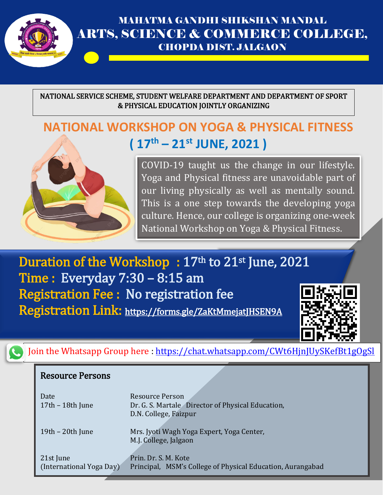

### MAHATMA GANDHI SHIKSHAN MANDAL ARTS, SCIENCE & COMMERCE COLLEGE, CHOPDA DIST. JALGAON

NATIONAL SERVICE SCHEME, STUDENT WELFARE DEPARTMENT AND DEPARTMENT OF SPORT & PHYSICAL EDUCATION JOINTLY ORGANIZING

# **NATIONAL WORKSHOP ON YOGA & PHYSICAL FITNESS ( 17th – 21st JUNE, 2021 )**



COVID-19 taught us the change in our lifestyle. Yoga and Physical fitness are unavoidable part of our living physically as well as mentally sound. This is a one step towards the developing yoga culture. Hence, our college is organizing one-week National Workshop on Yoga & Physical Fitness.

Duration of the Workshop: 17th to 21st June, 2021 Time : Everyday 7:30 – 8:15 am Registration Fee : No registration fee Registration Link: <https://forms.gle/ZaKtMmejatJHSEN9A>



Join the Whatsapp Group here :<https://chat.whatsapp.com/CWt6HjnJUySKefBt1gOgSl>

#### Resource Persons

| Date                     | <b>Resource Person</b>                                     |
|--------------------------|------------------------------------------------------------|
| $17th - 18th$ June       | Dr. G. S. Martale Director of Physical Education,          |
|                          | D.N. College, Faizpur                                      |
| $19th - 20th$ June       | Mrs. Jyoti Wagh Yoga Expert, Yoga Center,                  |
|                          | M.J. College, Jalgaon                                      |
| 21st June                | Prin. Dr. S. M. Kote                                       |
| (International Yoga Day) | Principal, MSM's College of Physical Education, Aurangabad |